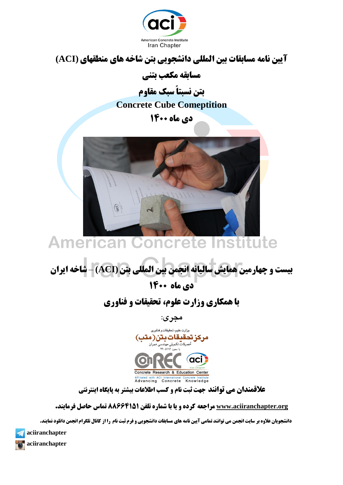

## **آییه وامٍ مسابقات بیه المللی داوشجًیی بته شاخٍ َای مىطقُای (ACI(**

**مسابقٍ مکعب بتىی** 

**بته وسبتاً سبک مقايم Concrete Cube Comeptition**

**دی ماه ۱۴۰۰** 



#### **Institute American Concrete**

**بیست ي چُارمیه َمایش سالیاوٍ اوجمه بیه المللی بته (ACI** – **(شاخٍ ایران دی ماه ۱۴۰۰** 

## **با همکاری وزارت علوم، تحقیقات و فناوری**

**مجری:**



**علاقمندان می توانند جهت ثبت نام و کسب اطلاعات بیشتر به پایگاه اینترنتی** 

**[org.aciiranchapter.www](http://www.aciiranchapter.org/) مراجعٍ کردٌ ي یا با شمارٌ تلفه 88664151 تماس حاصل فرمایىد.**

**دانشجویان علاوه بر سایت انجمن می توانند تمامی آیین نامه های مسابقات دانشجویی و فرم ثبت نام را از کانال تلگرام انجمن دانلود نمایند.** 

**aciiranchapter**

**aciiranchapter**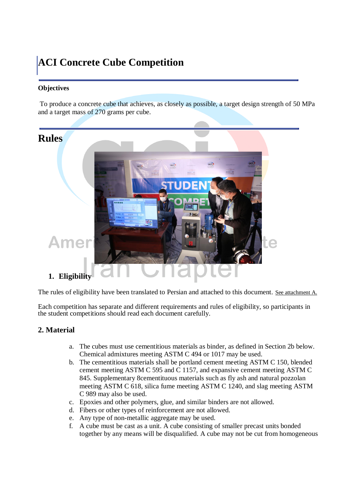## **ACI Concrete Cube Competition**

#### **Objectives**

To produce a concrete cube that achieves, as closely as possible, a target design strength of 50 MPa and a target mass of 270 grams per cube.



The rules of eligibility have been translated to Persian and attached to this document. See attachment A.

Each competition has separate and different requirements and rules of eligibility, so participants in the student competitions should read each document carefully.

#### **2. Material**

- a. The cubes must use cementitious materials as binder, as defined in Section 2b below. Chemical admixtures meeting ASTM C 494 or 1017 may be used.
- b. The cementitious materials shall be portland cement meeting ASTM C 150, blended cement meeting ASTM C 595 and C 1157, and expansive cement meeting ASTM C 845. Supplementary 8cementituous materials such as fly ash and natural pozzolan meeting ASTM C 618, silica fume meeting ASTM C 1240, and slag meeting ASTM C 989 may also be used.
- c. Epoxies and other polymers, glue, and similar binders are not allowed.
- d. Fibers or other types of reinforcement are not allowed.
- e. Any type of non-metallic aggregate may be used.
- f. A cube must be cast as a unit. A cube consisting of smaller precast units bonded together by any means will be disqualified. A cube may not be cut from homogeneous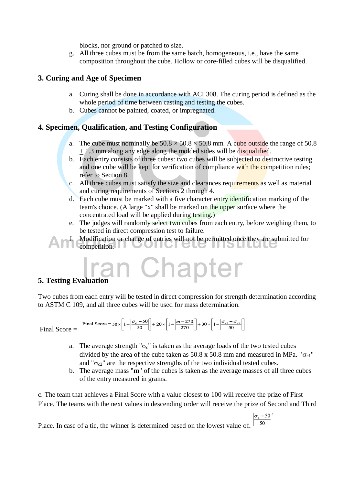blocks, nor ground or patched to size.

g. All three cubes must be from the same batch, homogeneous, i.e., have the same composition throughout the cube. Hollow or core-filled cubes will be disqualified.

#### **3. Curing and Age of Specimen**

- a. Curing shall be done in accordance with ACI 308. The curing period is defined as the whole period of time between casting and testing the cubes.
- b. Cubes cannot be painted, coated, or impregnated.

#### **4. Specimen, Qualification, and Testing Configuration**

- a. The cube must nominally be  $50.8 \times 50.8 \times 50.8$  mm. A cube outside the range of 50.8 + 1.3 mm along any edge along the molded sides will be disqualified.
- b. Each entry consists of three cubes: two cubes will be subjected to destructive testing and one cube will be kept for verification of compliance with the competition rules; refer to Section 8.
- c. All three cubes must satisfy the size and clearances requirements as well as material and curing requirements of Sections 2 through 4.
- d. Each cube must be marked with a five character entry identification marking of the team's choice. (A large "x" shall be marked on the upper surface where the concentrated load will be applied during testing.)
- e. The judges will randomly select two cubes from each entry, before weighing them, to be tested in direct compression test to failure.

f. Modification or change of entries will not be permitted once they are submitted for competition.

#### **5. Testing Evalu**

Two cubes from each entry will be tested in direct compression for strength determination according to ASTM C 109, and all three cubes will be used for mass determination.

$$
\text{Final Score} = \text{Final Score} = 50 \times \left[ 1 - \left| \frac{\sigma_c - 50}{50} \right| \right] + 20 \times \left[ 1 - \left| \frac{m - 270}{270} \right| \right] + 30 \times \left[ 1 - \left| \frac{\sigma_{c1} - \sigma_{c2}}{50} \right| \right]
$$

- a. The average strength " $\sigma_c$ " is taken as the average loads of the two tested cubes divided by the area of the cube taken as 50.8 x 50.8 mm and measured in MPa. " $\sigma_{c1}$ " and " $\sigma_{\gamma}$ " are the respective strengths of the two individual tested cubes.
- b. The average mass "**m**" of the cubes is taken as the average masses of all three cubes of the entry measured in grams.

c. The team that achieves a Final Score with a value closest to 100 will receive the prize of First Place. The teams with the next values in descending order will receive the prize of Second and Third

 $|\sigma_c - 50|$ 50 Place. In case of a tie, the winner is determined based on the lowest value of**.**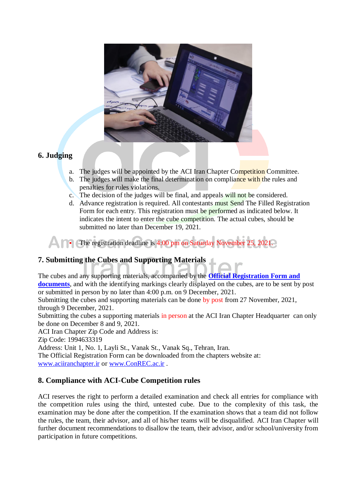

#### **6. Judging**

- a. The judges will be appointed by the ACI Iran Chapter Competition Committee.
- b. The judges will make the final determination on compliance with the rules and penalties for rules violations.
- c. The decision of the judges will be final, and appeals will not be considered.
- d. Advance registration is required. All contestants must Send The Filled Registration Form for each entry. This registration must be performed as indicated below. It indicates the intent to enter the cube competition. The actual cubes, should be submitted no later than December 19, 2021.

The registration deadline is 4:00 pm on Saturday November 25, 2021.

### **7. Submitting the Cubes and Supporting Materials**

The cubes and any supporting materials, accompanied by the **[Official Registration Form](http://www.concrete.org/students/2009CubeOfficialForm.pdf) and documents**, and with the identifying markings clearly displayed on the cubes, are to be sent by post or submitted in person by no later than 4:00 p.m. on 9 December, 2021.

Submitting the cubes and supporting materials can be done by post from 27 November, 2021, through 9 December, 2021.

Submitting the cubes a supporting materials in person at the ACI Iran Chapter Headquarter can only be done on December 8 and 9, 2021.

ACI Iran Chapter Zip Code and Address is:

Zip Code: 1994633319

Address: Unit 1, No. 1, Layli St., Vanak St., Vanak Sq., Tehran, Iran.

The Official Registration Form can be downloaded from the chapters website at: [www.aciiranchapter.ir](http://www.aciiranchapter.ir/) or [www.ConREC.ac.ir](http://www.conrec.ac.ir/) .

#### **8. Compliance with ACI-Cube Competition rules**

ACI reserves the right to perform a detailed examination and check all entries for compliance with the competition rules using the third, untested cube. Due to the complexity of this task, the examination may be done after the competition. If the examination shows that a team did not follow the rules, the team, their advisor, and all of his/her teams will be disqualified. ACI Iran Chapter will further document recommendations to disallow the team, their advisor, and/or school/university from participation in future competitions.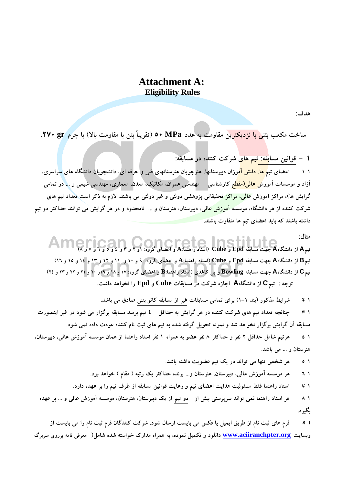#### **Attachment A: Eligibility Rules**

هدف:

ساخت مكعب بتني <mark>با نزديكترين</mark> مقاومت بِه عدد MPa • 0 (تقريباً بتن با مقاومت بالا) با جرم yv. لا

**1** – قوانین مساب<mark>قه: تیم های</mark> شرکت کننده در مسابقه:

**۱** + اعضاى تی<mark>م ها، دانش آم</mark>وزان دبیرستانها، هنرِّجویان هنرستانهای فنی و حرفه ای، دانشجویان دانشگاه های <mark>سر</mark>اسری، آزاد و موسسات آمور<mark>ش عال<sub>ى</sub>(مقطع</mark> كارشناسى مهندسى عمران، مكانیک، معدن، معمارى، مهندسى شیمى و ... در تمامى گرايش ها)، مراكز آموزش <mark>عالي، مراكز تحقیقاتي پژوهشي دولتي و غیر</mark> دولتي مي باشند. لازم به ذكر است تعداد تیم هاي شرکت کننده از هر دانشگاه، موسس<mark>ه آموزش عال</mark>ی، دبیرستان، هنرستان و ... نامحدود و در هر گرایش می توانند حداکثر دو تیم داشته باشند که باید اعضای تیم ها متفاوت باشند<mark>.</mark>

مثال: نیمA از دانشگاهA جهت مسابقه Epd و Cube (استاد راهنما:A و اعضای گروه: ۱و ۲ و ۳ و ٤ و ٥ و ٦ و ٧ و ٨)

تیمB از دانشگاهA جهت مسابقه Epd و Cube (استاد راهنما:A و اعضای گروه: ۹ و ۱۰ و ۱۱ و ۱۲ و ۱۳ و ۱۶ و ۱۵ و ۱۲) تیمC از دانشگاهA جهت مسابقه Bowling و پل کاغذی (استاد راهنما:B و اعضای گروه: ۱۷ و ۱۸ و ۱۹ و ۲۰ و ۲۱ و ۲۲ و ۲۲ و **تَخِ ۺ تین C اظ زاًطگبُ A اخبظُ ضطوت زض هسبثمبت Cube ٍ Epd ضا ًرَاّس زاضت.**

**1 -2 ضطايط هصوَض )ثٌس 1-1( ثطای توبهي هسبثمبت غیط اظ هسبثمِ وبًَ ثتٌي غبزق هي ثبضس. 1 # چنانچِه تعداد تیم های شرکت کننده در هر گرایش به حداقل ٤ تیم برسد مسابقه برگزار می شود در غیر اینصورت** مسابقه آن گرایش برگزار نخواهد شد و نمونه تحویل گرفته شده به تیم های ثبت نام کننده عودت داده نمی شود. **1 -4 ّطتین ضبهل حسالل 2 ًفط ٍ حساوثط 8 ًفط عضَ ثِ ّوطاُ 1 ًفط استبز ضاٌّوب اظ ّوبى هَسسِ آهَظش عبلي، زثیطستبى،**  هنرستان و … مي باشد.

**1 -5 ّط ضرع تٌْب هي تَاًس زض يه تین عضَيت زاضتِ ثبضس.**

- **1 -6 ّط هَسسِ آهَظش عبلي، زثیطستبى، ٌّطستبى ...ٍ ثطًسُ حساوثط يه ضتجِ ) همبم ( ذَاّس ثَز.**
- **1 -7 استبز ضاٌّوب فمط هسئَلیت ّسايت اعضبی تین ٍ ضعبيت لَاًیي هسبثمِ اظ ططف تین ضا ثط عْسُ زاضز.**
- **1 -8 ّط استبز ضاٌّوب ًوي تَاًس سطپطستي ثیص اظ زٍ تین اظ يه زثیطستبى، ٌّطستبى، هَسسِ آهَظش عبلي ٍ ... ثط عْسُ**  بگیر د.

**<sup>1</sup> -<sup>9</sup> فطم ّبی ثجت ًبم اظ ططيك ايویل يب فىس هي ثبيست اضسبل ضَز. ضطوت وٌٌسگبى فطم ثجت ًبم ضا هي ثبيست اظ**  وبسايت <u>www.aciiranchpter.org</u> دانلود و تكميل نموده، به همراه مدارک خواسته شده شامل( معرفي نامه برروي سربرگ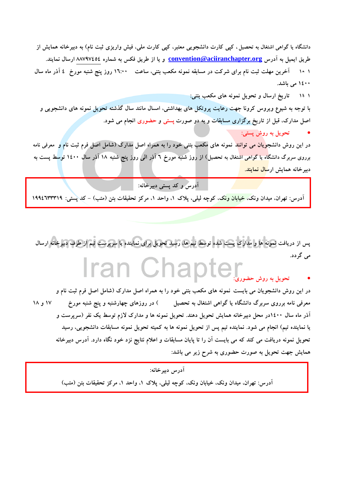دانشگاه يا گواهي اشتغال به تحصيل ، كيبي كارت دانشجويي معتبر، كيبي كارت ملي، فيش واريزي ثبت نام) به دبيرخانه همايش از طريق ايميل به آدرس <u>convention@aciiranchapter.org</u> و يا از طريق فكس به شماره ٨٨٧٩٧٤٥٤ ارسال نمايند. **1 10- آذطيي هْلت ثجت ًبم ثطای ضطوت زض هسبثمِ ًوًَِ هىعت ثتٌي، سبعت 16:00 ضٍظ پٌح ضٌجِ هَضخ ۴ آشض هبُ سبل 1400 هي ثبضس.**

**1 11- تبضيد اضسبل ٍ تحَيل ًوًَِ ّبی هىعت ثتٌيۺ**

با توجِه به شیوع ویروس کرونا جهت رعایت پروتکل های بهداشتی، امسال مانند سال گذشته تحویل نمونه های دانشجویی و اصل مدارک، قبل از تاریخ برگزاری مسابقات و به دو صورت پستی و حضوری انجام می شود.

**تحَيل ثِ ضٍش پستيۺ**

در اين روش دانشجو<mark>يان مي توانند</mark> نمونه هاي مكعب بتني خود را به همراه اصل مدارک (شامل اصل فرم ثبت نام و معرفي نامه برروی سربرگ دانشگاه يا گواهي اشتغال به تحصيل) از روز شنبه مورخ ۲ آذر الي روز پنج شنبه ۱۸ آذر سال ۱٤۰۰ توسط پست به دبیرخانه همایش ارس<mark>ال نمایند.</mark>

**آزضس ٍ وس پستي زثیطذبًِۺ**

آدرس: تْهرانْ، ميدان ونكَّ، خيابان ونك، كوچه ليلي، پلاک ۱، واحد ۱، مركز تحقيقات بتن (متب) – كَدِ پستي: ۱۹۹٤٦٣٣٣٩٩

**پس اظ زضيبفت ًوًَِ ّب ٍ هساضن پست ضسُ تَسط تین ّب، ضسیس تحَيل ثطای ًوبيٌسُ يب سطپطست تین اظ ططف زثیطذبًِ اضسبل**  م*ي* گردد. Iran Chap

**تحَيل ثِ ضٍش حضَضیۺ**

در اين روش دانشجويان مى بايست نمونه هاى مكعب بتنى خود را به همراه اصل مدارك (شامل اصل فرم ثبت نام و **هعطفي ًبهِ ثطضٍی سطثطي زاًطگبُ يب گَاّي اضتغبل ثِ تحػیل ( زض ضٍظّبی چْبضضٌجِ ٍ پٌح ضٌجِ هَضخ ۱۷ ٍ ۱۸** آذر ماه سال ۱٤۰۰در محل دبیرخانه همایش تحویل دهند. تحویل نمونه ها و مدارک لازم توسط یک نفر (سرپرست و يا نماينده تيم) انجام مي شود. نماينده تيم پس از تحويل نمونه ها به كميته تحويل نمونه مسابقات دانشجويي، رسيد تحویل نمونه دریافت می کند که می بایست آن را تا پایان مسابقات و اعلام نتایج نزد خود نگاه دارد. آدرس دبیرخانه همايش جهت تحويل به صورت حضورى به شرح زير مي باشد:

**آزضس زثیطذبًِۺ** آدرس: تهران، میدان ونک، خیابان ونک، کوچه لیلي، پلاک ۱، واحد ۱، مرکز تحقیقات بتن (متب)